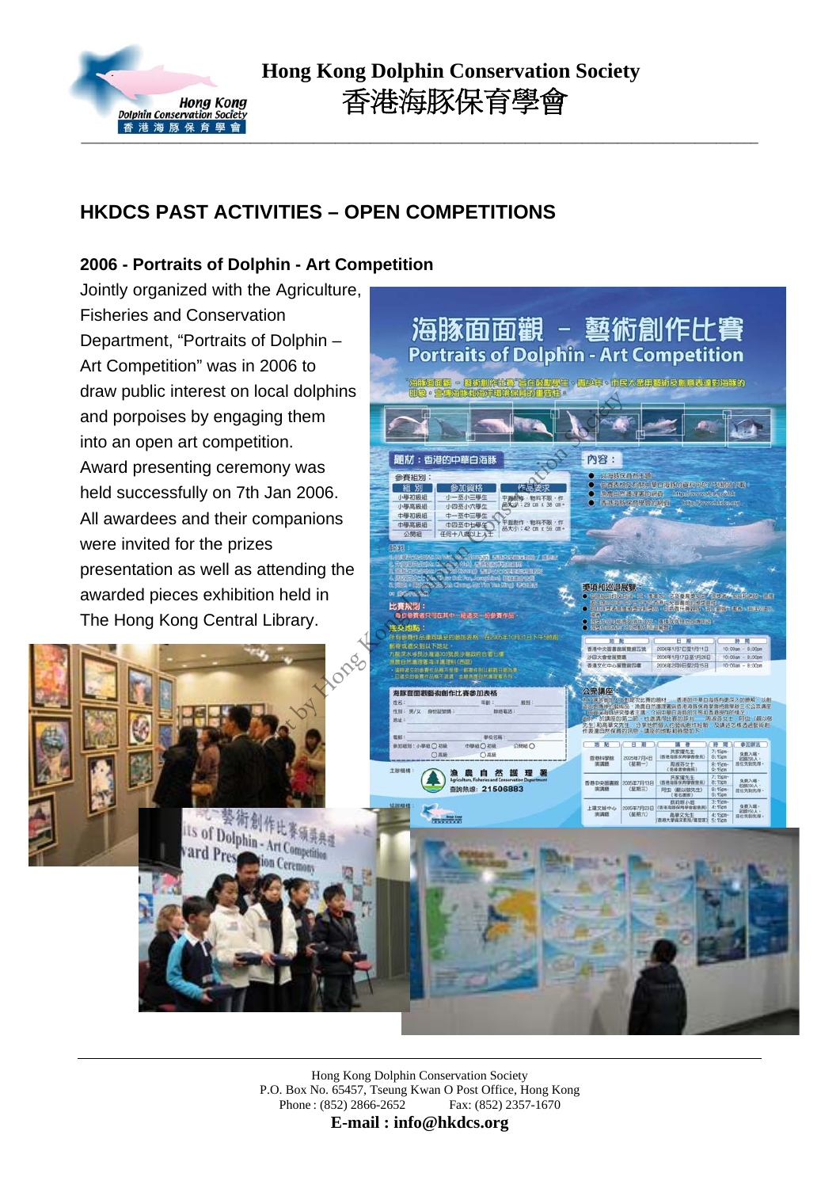

# **HKDCS PAST ACTIVITIES – OPEN COMPETITIONS**

## **2006 - Portraits of Dolphin - Art Competition**

Jointly organized with the Agriculture, Fisheries and Conservation Department, "Portraits of Dolphin – Art Competition" was in 2006 to draw public interest on local dolphins and porpoises by engaging them into an open art competition. Award presenting ceremony was held successfully on 7th Jan 2006. All awardees and their companions were invited for the prizes presentation as well as attending the awarded pieces exhibition held in The Hong Kong Central Library.

tion Ceremony



Hong Kong Dolphin Conservation Society P.O. Box No. 65457, Tseung Kwan O Post Office, Hong Kong Phone : (852) 2866-2652 Fax: (852) 2357-1670

**E-mail : info@hkdcs.org**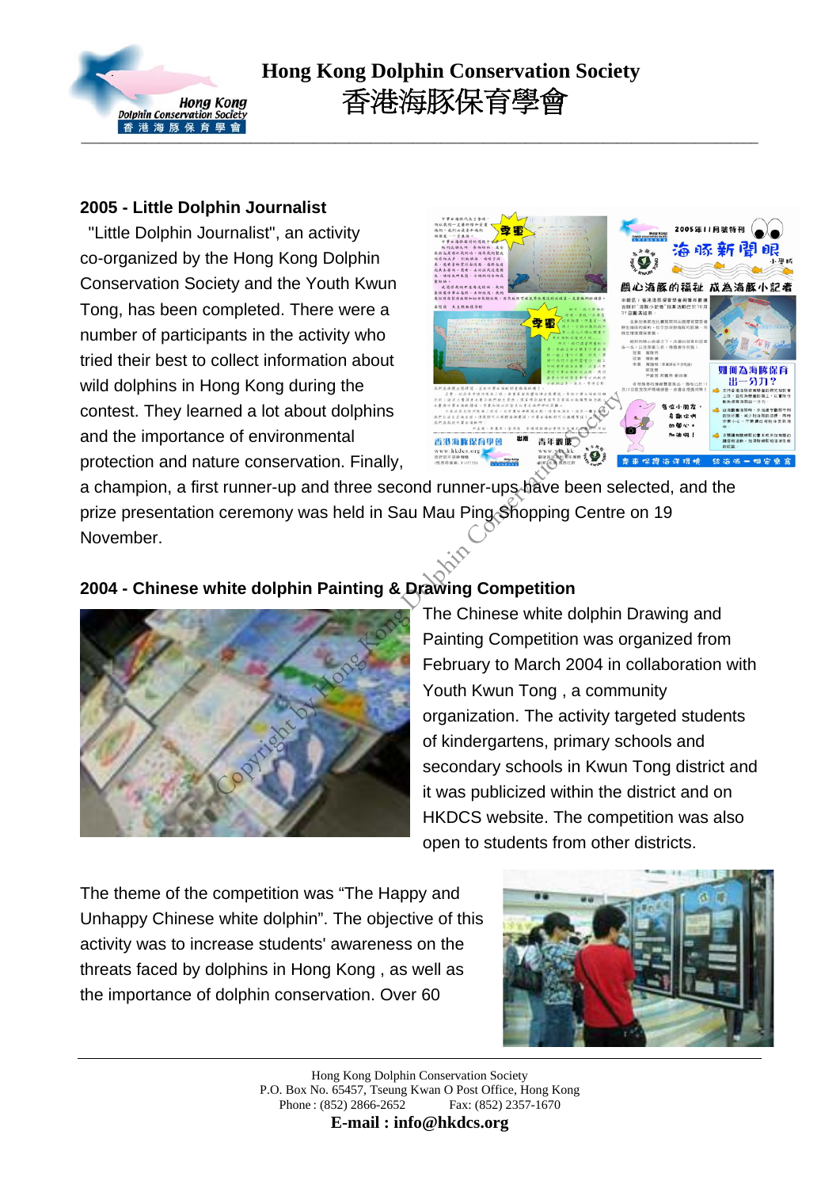

# **Hong Kong Dolphin Conservation Society** 香港海豚保育學會

#### **2005 - Little Dolphin Journalist**

 "Little Dolphin Journalist", an activity co-organized by the Hong Kong Dolphin Conservation Society and the Youth Kwun Tong, has been completed. There were a number of participants in the activity who tried their best to collect information about wild dolphins in Hong Kong during the contest. They learned a lot about dolphins and the importance of environmental protection and nature conservation. Finally,



a champion, a first runner-up and three second runner-ups have been selected, and the prize presentation ceremony was held in Sau Mau Ping Shopping Centre on 19 November.

## **2004 - Chinese white dolphin Painting & Drawing Competition**



## The Chinese white dolphin Drawing and Painting Competition was organized from February to March 2004 in collaboration with Youth Kwun Tong , a community organization. The activity targeted students of kindergartens, primary schools and secondary schools in Kwun Tong district and it was publicized within the district and on HKDCS website. The competition was also open to students from other districts.

The theme of the competition was "The Happy and Unhappy Chinese white dolphin". The objective of this activity was to increase students' awareness on the threats faced by dolphins in Hong Kong , as well as the importance of dolphin conservation. Over 60



Hong Kong Dolphin Conservation Society P.O. Box No. 65457, Tseung Kwan O Post Office, Hong Kong Phone : (852) 2866-2652 Fax: (852) 2357-1670

**E-mail : info@hkdcs.org**